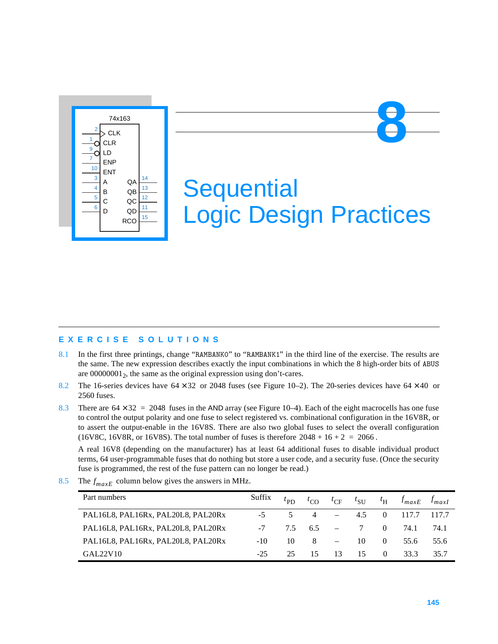

# **Sequential** Logic Design Practices

# **EXERCISE SOLUTIONS**

- 8.1 In the first three printings, change "RAMBANK0" to "RAMBANK1" in the third line of the exercise. The results are the same. The new expression describes exactly the input combinations in which the 8 high-order bits of ABUS are  $00000001<sub>2</sub>$ , the same as the original expression using don't-cares.
- 8.2 The 16-series devices have  $64 \times 32$  or 2048 fuses (see Figure 10–2). The 20-series devices have  $64 \times 40$  or 2560 fuses.
- 8.3 There are  $64 \times 32 = 2048$  fuses in the AND array (see Figure 10–4). Each of the eight macrocells has one fuse to control the output polarity and one fuse to select registered vs. combinational configuration in the 16V8R, or to assert the output-enable in the 16V8S. There are also two global fuses to select the overall configuration (16V8C, 16V8R, or 16V8S). The total number of fuses is therefore  $2048 + 16 + 2 = 2066$ .

A real 16V8 (depending on the manufacturer) has at least 64 additional fuses to disable individual product terms, 64 user-programmable fuses that do nothing but store a user code, and a security fuse. (Once the security fuse is programmed, the rest of the fuse pattern can no longer be read.)

| Part numbers                       | Suffix | $t_{\rm PD}$ | $\iota_{\rm CO}$ | $t_{\rm CF}$             | $t_{\text{SU}}$ |          | $t_{\rm H}$ $f_{maxE}$ | $f_{maxI}$ |
|------------------------------------|--------|--------------|------------------|--------------------------|-----------------|----------|------------------------|------------|
| PAL16L8, PAL16Rx, PAL20L8, PAL20Rx |        | 5.           | $\overline{4}$   | $\overline{\phantom{m}}$ | 4.5             |          | 117.7                  | 117.7      |
| PAL16L8, PAL16Rx, PAL20L8, PAL20Rx | $-7$   | 75           | 6.5              | $\sim$ $-$               | $\overline{7}$  | $\Omega$ | 74.1                   | 74.1       |
| PAL16L8, PAL16Rx, PAL20L8, PAL20Rx | -10    | 10           | 8                | $\overline{\phantom{a}}$ | 10              | $\Omega$ | 55.6                   | 55.6       |
| GAL22V10                           | $-25$  | 25.          | 15               | 13                       | 15              | $\Omega$ | 33.3                   | 35.7       |

8.5 The  $f_{maxE}$  column below gives the answers in MHz.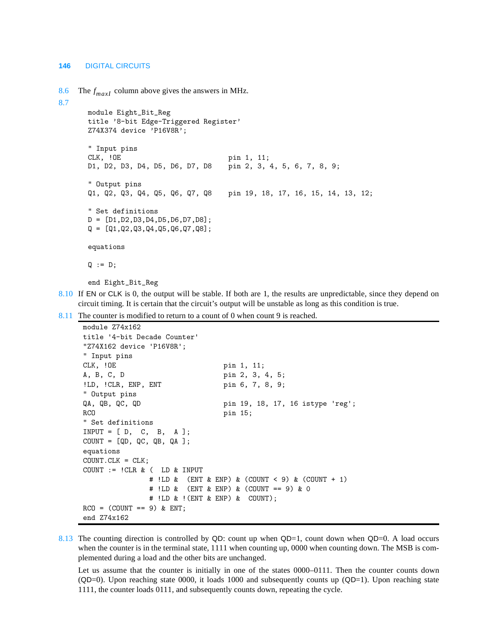8.6 The  $f_{maxI}$  column above gives the answers in MHz.

```
8.7
```

```
module Eight_Bit_Reg
title '8-bit Edge-Triggered Register'
Z74X374 device 'P16V8R';
" Input pins
CLK, !OE pin 1, 11;
D1, D2, D3, D4, D5, D6, D7, D8 pin 2, 3, 4, 5, 6, 7, 8, 9;
" Output pins 
Q1, Q2, Q3, Q4, Q5, Q6, Q7, Q8 pin 19, 18, 17, 16, 15, 14, 13, 12;
" Set definitions 
D = [D1,D2,D3,D4,D5,D6,D7,D8]; 
Q = [Q1, Q2, Q3, Q4, Q5, Q6, Q7, Q8];
equations
Q := D;
```
end Eight\_Bit\_Reg

8.10 If EN or CLK is 0, the output will be stable. If both are 1, the results are unpredictable, since they depend on circuit timing. It is certain that the circuit's output will be unstable as long as this condition is true.

8.11 The counter is modified to return to a count of 0 when count 9 is reached.

```
module Z74x162
title '4-bit Decade Counter' 
"Z74X162 device 'P16V8R'; 
" Input pins 
CLK, !OE pin 1, 11;
A, B, C, D pin 2, 3, 4, 5;
!LD, !CLR, ENP, ENT pin 6, 7, 8, 9;
" Output pins 
QA, QB, QC, QD pin 19, 18, 17, 16 istype 'reg';
RCO pin 15;
" Set definitions 
INPUT = [D, C, B, A];COUNT = [QD, QC, QB, QA];equations 
COUNT.CLK = CLK; 
COUNT := !CLR & ( LD & INPUT
              # !LD & (ENT & ENP) & (COUNT < 9) & (COUNT + 1) 
              # !LD & (ENT & ENP) & (COUNT == 9) & 0 
              # !LD & !(ENT & ENP) & COUNT); 
RCO = (COUNT == 9) & ENT;end Z74x162
```
8.13 The counting direction is controlled by QD: count up when QD=1, count down when QD=0. A load occurs when the counter is in the terminal state, 1111 when counting up, 0000 when counting down. The MSB is complemented during a load and the other bits are unchanged.

Let us assume that the counter is initially in one of the states 0000–0111. Then the counter counts down  $(QD=0)$ . Upon reaching state 0000, it loads 1000 and subsequently counts up  $(QD=1)$ . Upon reaching state 1111, the counter loads 0111, and subsequently counts down, repeating the cycle.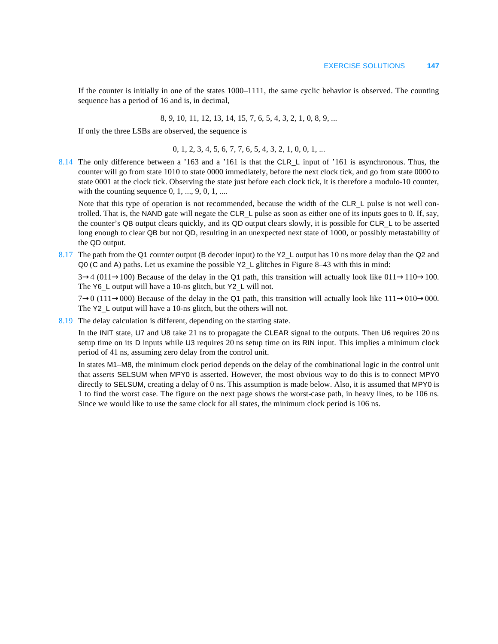If the counter is initially in one of the states 1000–1111, the same cyclic behavior is observed. The counting sequence has a period of 16 and is, in decimal,

8, 9, 10, 11, 12, 13, 14, 15, 7, 6, 5, 4, 3, 2, 1, 0, 8, 9, ...

If only the three LSBs are observed, the sequence is

$$
0, 1, 2, 3, 4, 5, 6, 7, 7, 6, 5, 4, 3, 2, 1, 0, 0, 1, ...
$$

8.14 The only difference between a '163 and a '161 is that the CLR\_L input of '161 is asynchronous. Thus, the counter will go from state 1010 to state 0000 immediately, before the next clock tick, and go from state 0000 to state 0001 at the clock tick. Observing the state just before each clock tick, it is therefore a modulo-10 counter, with the counting sequence  $0, 1, ..., 9, 0, 1, ...$ 

Note that this type of operation is not recommended, because the width of the CLR L pulse is not well controlled. That is, the NAND gate will negate the CLR\_L pulse as soon as either one of its inputs goes to 0. If, say, the counter's QB output clears quickly, and its QD output clears slowly, it is possible for CLR\_L to be asserted long enough to clear QB but not QD, resulting in an unexpected next state of 1000, or possibly metastability of the QD output.

8.17 The path from the Q1 counter output (B decoder input) to the Y2\_L output has 10 ns more delay than the Q2 and Q0 (C and A) paths. Let us examine the possible Y2\_L glitches in Figure 8–43 with this in mind:

 $3\rightarrow4$  (011 $\rightarrow$ 100) Because of the delay in the Q1 path, this transition will actually look like 011 $\rightarrow$ 110 $\rightarrow$ 100. The Y6\_L output will have a 10-ns glitch, but Y2\_L will not.

7→0 (111→000) Because of the delay in the Q1 path, this transition will actually look like  $111\rightarrow010\rightarrow000$ . The Y2\_L output will have a 10-ns glitch, but the others will not.

8.19 The delay calculation is different, depending on the starting state.

In the INIT state, U7 and U8 take 21 ns to propagate the CLEAR signal to the outputs. Then U6 requires 20 ns setup time on its D inputs while U3 requires 20 ns setup time on its RIN input. This implies a minimum clock period of 41 ns, assuming zero delay from the control unit.

In states M1–M8, the minimum clock period depends on the delay of the combinational logic in the control unit that asserts SELSUM when MPY0 is asserted. However, the most obvious way to do this is to connect MPY0 directly to SELSUM, creating a delay of 0 ns. This assumption is made below. Also, it is assumed that MPY0 is 1 to find the worst case. The figure on the next page shows the worst-case path, in heavy lines, to be 106 ns. Since we would like to use the same clock for all states, the minimum clock period is 106 ns.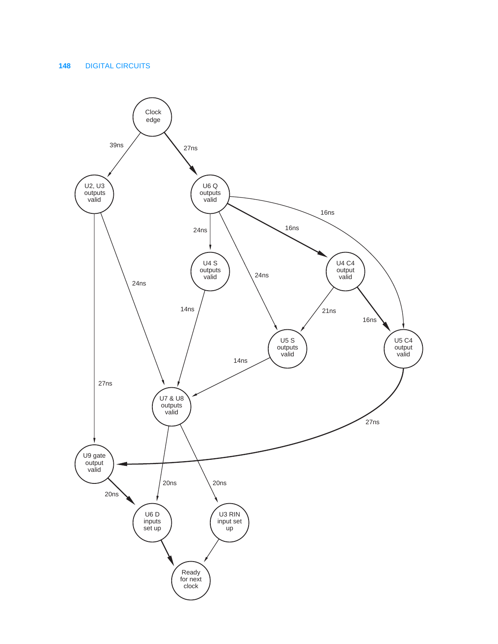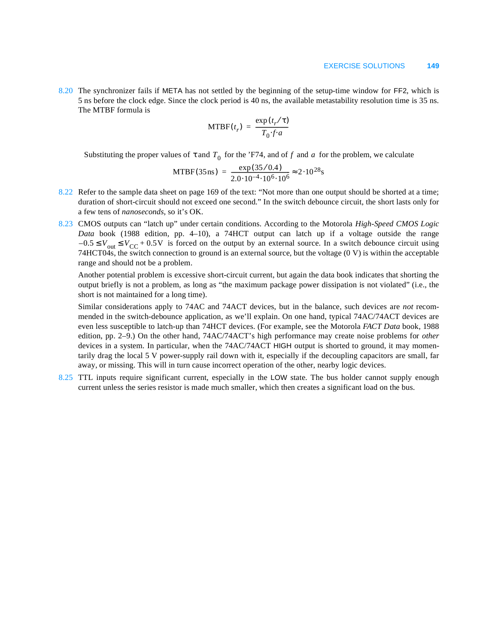8.20 The synchronizer fails if META has not settled by the beginning of the setup-time window for FF2, which is 5 ns before the clock edge. Since the clock period is 40 ns, the available metastability resolution time is 35 ns. The MTBF formula is

$$
MTBF(t_r) = \frac{\exp(t_r/\tau)}{T_0 \cdot f \cdot a}
$$

Substituting the proper values of  $\tau$  and  $T_0$  for the 'F74, and of f and a for the problem, we calculate

MTBF(35ns) = 
$$
\frac{\exp(35/0.4)}{2.0 \cdot 10^{-4} \cdot 10^{6} \cdot 10^{6}} \approx 2.10^{28} \text{s}
$$

- 8.22 Refer to the sample data sheet on page 169 of the text: "Not more than one output should be shorted at a time; duration of short-circuit should not exceed one second." In the switch debounce circuit, the short lasts only for a few tens of *nanoseconds*, so it's OK.
- 8.23 CMOS outputs can "latch up" under certain conditions. According to the Motorola *High-Speed CMOS Logic Data* book (1988 edition, pp. 4–10), a 74HCT output can latch up if a voltage outside the range  $-0.5 \le V_{\text{out}} \le V_{\text{CC}} + 0.5V$  is forced on the output by an external source. In a switch debounce circuit using 74HCT04s, the switch connection to ground is an external source, but the voltage (0 V) is within the acceptable range and should not be a problem.

Another potential problem is excessive short-circuit current, but again the data book indicates that shorting the output briefly is not a problem, as long as "the maximum package power dissipation is not violated" (i.e., the short is not maintained for a long time).

Similar considerations apply to 74AC and 74ACT devices, but in the balance, such devices are *not* recommended in the switch-debounce application, as we'll explain. On one hand, typical 74AC/74ACT devices are even less susceptible to latch-up than 74HCT devices. (For example, see the Motorola *FACT Data* book, 1988 edition, pp. 2–9.) On the other hand, 74AC/74ACT's high performance may create noise problems for *other* devices in a system. In particular, when the 74AC/74ACT HIGH output is shorted to ground, it may momentarily drag the local 5 V power-supply rail down with it, especially if the decoupling capacitors are small, far away, or missing. This will in turn cause incorrect operation of the other, nearby logic devices.

8.25 TTL inputs require significant current, especially in the LOW state. The bus holder cannot supply enough current unless the series resistor is made much smaller, which then creates a significant load on the bus.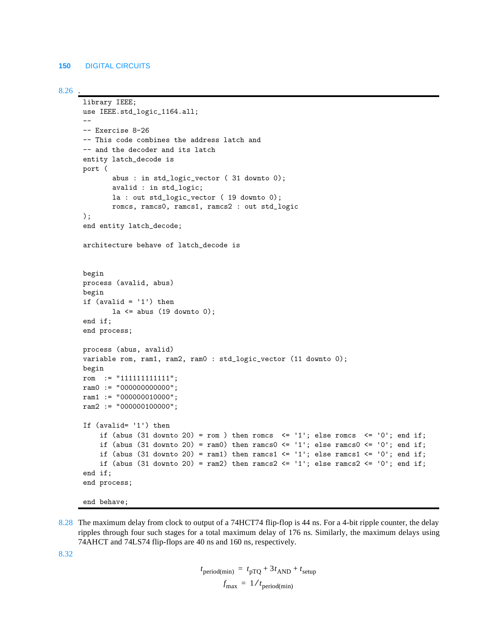```
8.26 .
```

```
library IEEE;
use IEEE.std_logic_1164.all;
--
-- Exercise 8-26 
-- This code combines the address latch and
-- and the decoder and its latch
entity latch_decode is
port (
       abus : in std_logic_vector ( 31 downto 0);
       avalid : in std_logic;
       la : out std_logic_vector ( 19 downto 0);
       romcs, ramcs0, ramcs1, ramcs2 : out std_logic
);
end entity latch_decode;
architecture behave of latch_decode is
begin
process (avalid, abus)
begin
if (available - '1') then
       la \leq abus (19 downto 0);
end if;
end process;
process (abus, avalid)
variable rom, ram1, ram2, ram0 : std_logic_vector (11 downto 0);
begin
rom := "111111111111";
ram0 := "000000000000";
ram1 := "000000010000";
ram2 := "000000100000";
If (avalid= '1') then
    if (abus (31 downto 20) = rom ) then romcs \leq -1; else romcs \leq -1 o'; end if;
    if (abus (31 downto 20) = ram0) then ramcs0 \le '1'; else ramcs0 \le '0'; end if;
    if (abus (31 downto 20) = ram1) then ramcs1 \le '1'; else ramcs1 \le '0'; end if;
    if (abus (31 downto 20) = ram2) then ramcs2 \le '1'; else ramcs2 \le '0'; end if;
end if;
end process;
```
- end behave;
- 8.28 The maximum delay from clock to output of a 74HCT74 flip-flop is 44 ns. For a 4-bit ripple counter, the delay ripples through four such stages for a total maximum delay of 176 ns. Similarly, the maximum delays using 74AHCT and 74LS74 flip-flops are 40 ns and 160 ns, respectively.

8.32

 $t_{\text{period}(min)} = t_{\text{pTQ}} + 3t_{\text{AND}} + t_{\text{setup}}$  $f_{\text{max}} = 1/t_{\text{period}(min)}$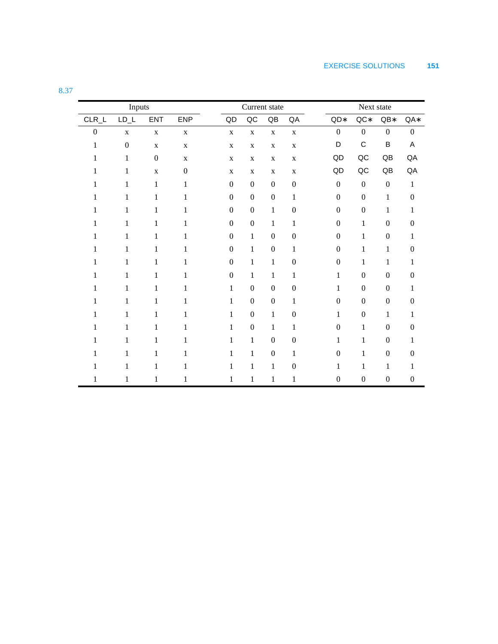| Inputs           |                  |                  |                  |  | Current state          |                  |                        |                  |  | Next state       |                  |                  |                  |  |
|------------------|------------------|------------------|------------------|--|------------------------|------------------|------------------------|------------------|--|------------------|------------------|------------------|------------------|--|
| $CLR_L$          | $LD_L$           | <b>ENT</b>       | ENP              |  | $\mathsf{Q}\mathsf{D}$ | $\sf QC$         | $\mathsf{Q}\mathsf{B}$ | QA               |  | $QD*$            | $QC*$            | $QB*$            | QA*              |  |
| $\boldsymbol{0}$ | $\mathbf X$      | $\mathbf X$      | $\mathbf X$      |  | $\mathbf X$            | $\mathbf X$      | $\mathbf X$            | $\mathbf X$      |  | $\boldsymbol{0}$ | $\boldsymbol{0}$ | $\boldsymbol{0}$ | $\boldsymbol{0}$ |  |
| $\mathbf{1}$     | $\boldsymbol{0}$ | $\mathbf X$      | $\mathbf X$      |  | $\mathbf X$            | $\mathbf X$      | $\mathbf X$            | $\mathbf X$      |  | D                | $\mathsf C$      | B                | A                |  |
| 1                | $\mathbf{1}$     | $\boldsymbol{0}$ | $\mathbf X$      |  | $\mathbf X$            | $\mathbf X$      | $\mathbf X$            | $\mathbf X$      |  | QD               | $\sf QC$         | QB               | QA               |  |
| 1                | $\mathbf{1}$     | $\mathbf X$      | $\boldsymbol{0}$ |  | X                      | $\mathbf X$      | $\mathbf X$            | $\mathbf X$      |  | QD               | $\sf QC$         | QB               | QA               |  |
| 1                | $\mathbf{1}$     | $\mathbf{1}$     | 1                |  | $\boldsymbol{0}$       | $\boldsymbol{0}$ | $\boldsymbol{0}$       | $\boldsymbol{0}$ |  | $\boldsymbol{0}$ | $\boldsymbol{0}$ | $\boldsymbol{0}$ | $\mathbf{1}$     |  |
| $\mathbf{1}$     | $\mathbf{1}$     | $\mathbf{1}$     | 1                |  | $\boldsymbol{0}$       | $\boldsymbol{0}$ | $\boldsymbol{0}$       | $\mathbf{1}$     |  | $\boldsymbol{0}$ | $\boldsymbol{0}$ | $\mathbf{1}$     | $\boldsymbol{0}$ |  |
| 1                | $\mathbf{1}$     | $\mathbf{1}$     | 1                |  | $\overline{0}$         | $\boldsymbol{0}$ | $\mathbf{1}$           | $\boldsymbol{0}$ |  | $\mathbf{0}$     | $\boldsymbol{0}$ | $\mathbf{1}$     | $\mathbf{1}$     |  |
| $\mathbf{1}$     | $\mathbf{1}$     | $\mathbf{1}$     | $\mathbf{1}$     |  | $\boldsymbol{0}$       | $\boldsymbol{0}$ | $\mathbf{1}$           | $\mathbf{1}$     |  | $\boldsymbol{0}$ | $\mathbf{1}$     | $\boldsymbol{0}$ | $\boldsymbol{0}$ |  |
| 1                | $\mathbf{1}$     | $\mathbf{1}$     | 1                |  | $\boldsymbol{0}$       | $\mathbf{1}$     | $\boldsymbol{0}$       | $\boldsymbol{0}$ |  | $\mathbf{0}$     | $\mathbf{1}$     | $\boldsymbol{0}$ | $\mathbf{1}$     |  |
| 1                | 1                | 1                | 1                |  | $\boldsymbol{0}$       | $\mathbf{1}$     | $\overline{0}$         | $\mathbf{1}$     |  | $\boldsymbol{0}$ | $\mathbf{1}$     | $\mathbf{1}$     | $\overline{0}$   |  |
| 1                | $\mathbf{1}$     | $\mathbf{1}$     | $\mathbf{1}$     |  | $\boldsymbol{0}$       | $\mathbf{1}$     | $\mathbf{1}$           | $\boldsymbol{0}$ |  | $\boldsymbol{0}$ | $\mathbf{1}$     | $\mathbf{1}$     | $\mathbf{1}$     |  |
| 1                | 1                | 1                | 1                |  | $\boldsymbol{0}$       | $\mathbf{1}$     | $\mathbf{1}$           | $\mathbf{1}$     |  | $\mathbf{1}$     | $\boldsymbol{0}$ | $\boldsymbol{0}$ | $\boldsymbol{0}$ |  |
| $\mathbf{1}$     | $\mathbf{1}$     | $\mathbf{1}$     | 1                |  | $\mathbf{1}$           | $\boldsymbol{0}$ | $\boldsymbol{0}$       | $\boldsymbol{0}$ |  | $\mathbf{1}$     | $\boldsymbol{0}$ | $\boldsymbol{0}$ | 1                |  |
| 1                | $\mathbf{1}$     | 1                | 1                |  | $\mathbf{1}$           | $\boldsymbol{0}$ | $\boldsymbol{0}$       | $\mathbf{1}$     |  | $\Omega$         | $\boldsymbol{0}$ | $\overline{0}$   | $\boldsymbol{0}$ |  |
| 1                | $\mathbf{1}$     | $\mathbf{1}$     | 1                |  | $\mathbf{1}$           | $\boldsymbol{0}$ | $\mathbf{1}$           | $\boldsymbol{0}$ |  | $\mathbf{1}$     | $\boldsymbol{0}$ | $\mathbf{1}$     | 1                |  |
| 1                | $\mathbf{1}$     | 1                | 1                |  | $\mathbf{1}$           | $\boldsymbol{0}$ | $\mathbf{1}$           | $\mathbf{1}$     |  | $\mathbf{0}$     | $\mathbf{1}$     | $\boldsymbol{0}$ | $\boldsymbol{0}$ |  |
| 1                | 1                | 1                | 1                |  | 1                      | $\mathbf{1}$     | $\overline{0}$         | $\boldsymbol{0}$ |  | 1                | $\mathbf{1}$     | $\boldsymbol{0}$ | $\mathbf{1}$     |  |
| 1                | $\mathbf{1}$     | $\mathbf{1}$     | 1                |  | $\mathbf{1}$           | $\mathbf{1}$     | $\overline{0}$         | $\mathbf{1}$     |  | $\boldsymbol{0}$ | $\mathbf{1}$     | $\overline{0}$   | $\boldsymbol{0}$ |  |
| 1                | 1                | 1                | 1                |  | 1                      | $\mathbf{1}$     | $\mathbf{1}$           | $\boldsymbol{0}$ |  | 1                | 1                | $\mathbf{1}$     | 1                |  |
| 1                | 1                | 1                | 1                |  | 1                      | 1                | 1                      | $\mathbf{1}$     |  | $\boldsymbol{0}$ | $\boldsymbol{0}$ | $\boldsymbol{0}$ | $\boldsymbol{0}$ |  |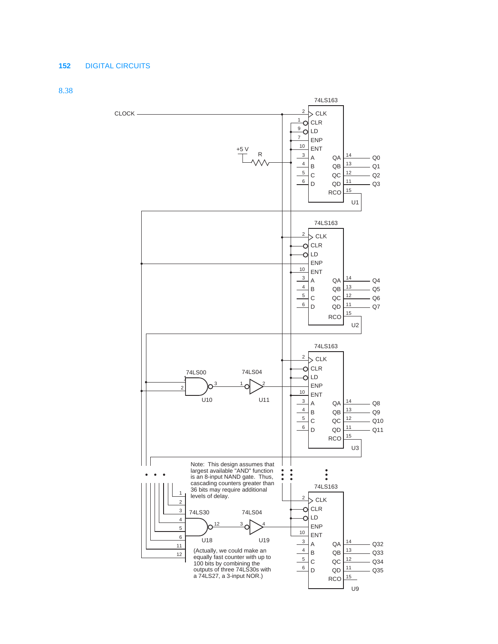8.38

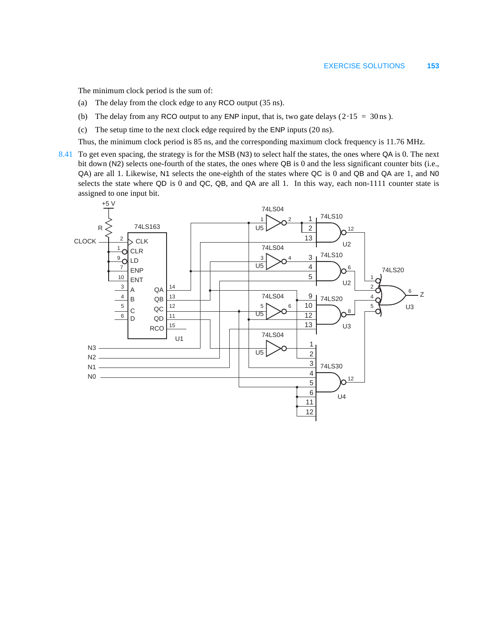The minimum clock period is the sum of:

- (a) The delay from the clock edge to any RCO output (35 ns).
- (b) The delay from any RCO output to any ENP input, that is, two gate delays ( $2.15 = 30$  ns).
- (c) The setup time to the next clock edge required by the ENP inputs (20 ns).

Thus, the minimum clock period is 85 ns, and the corresponding maximum clock frequency is 11.76 MHz.

8.41 To get even spacing, the strategy is for the MSB (N3) to select half the states, the ones where QA is 0. The next bit down (N2) selects one-fourth of the states, the ones where QB is 0 and the less significant counter bits (i.e., QA) are all 1. Likewise, N1 selects the one-eighth of the states where QC is 0 and QB and QA are 1, and N0 selects the state where QD is 0 and QC, QB, and QA are all 1. In this way, each non-1111 counter state is assigned to one input bit.

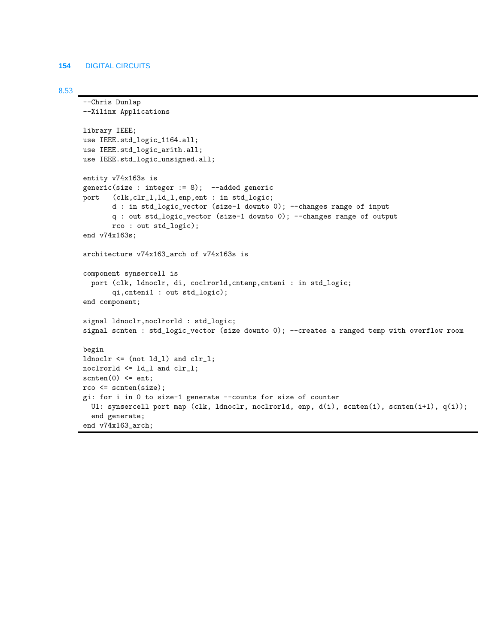#### 8.53

```
--Chris Dunlap 
--Xilinx Applications
library IEEE;
use IEEE.std_logic_1164.all;
use IEEE.std_logic_arith.all;
use IEEE.std_logic_unsigned.all;
entity v74x163s is
generic(size : integer := 8); --added generic
port (clk,clr_l,ld_l,enp,ent : in std_logic;
       d : in std_logic_vector (size-1 downto 0); --changes range of input
       q : out std_logic_vector (size-1 downto 0); --changes range of output
       rco : out std_logic);
end v74x163s;
architecture v74x163_arch of v74x163s is
component synsercell is
   port (clk, ldnoclr, di, coclrorld,cntenp,cnteni : in std_logic;
        qi,cnteni1 : out std_logic);
end component;
signal ldnoclr,noclrorld : std_logic;
signal scnten : std_logic_vector (size downto 0); --creates a ranged temp with overflow room
begin
ldnoclr <= (not ld_l) and clr_l;
noclrorld <= ld_l and clr_l;
scnten(0) \leq ent;
rco <= scnten(size);
gi: for i in 0 to size-1 generate --counts for size of counter
  U1: synsercell port map (clk, ldnoclr, noclrorld, enp, d(i), scnten(i), scnten(i+1), q(i));
   end generate;
end v74x163_arch;
```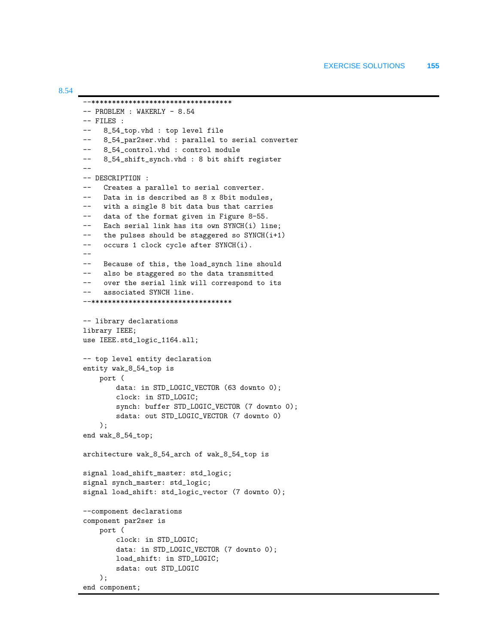```
--**********************************
-- PROBLEM : WAKERLY - 8.54
-- FILES : 
-- 8_54_top.vhd : top level file
-- 8_54_par2ser.vhd : parallel to serial converter
-- 8_54_control.vhd : control module
-- 8_54_shift_synch.vhd : 8 bit shift register
--
-- DESCRIPTION : 
-- Creates a parallel to serial converter.
-- Data in is described as 8 x 8bit modules,
-- with a single 8 bit data bus that carries
-- data of the format given in Figure 8-55.
-- Each serial link has its own SYNCH(i) line;
-- the pulses should be staggered so SYNCH(i+1)
     occurs 1 clock cycle after SYNCH(i).
-- 
-- Because of this, the load_synch line should
-- also be staggered so the data transmitted 
-- over the serial link will correspond to its
     associated SYNCH line.
--**********************************
-- library declarations
library IEEE;
use IEEE.std_logic_1164.all;
-- top level entity declaration
entity wak_8_54_top is
     port (
         data: in STD_LOGIC_VECTOR (63 downto 0);
         clock: in STD_LOGIC;
         synch: buffer STD_LOGIC_VECTOR (7 downto 0);
         sdata: out STD_LOGIC_VECTOR (7 downto 0)
     );
end wak_8_54_top;
architecture wak_8_54_arch of wak_8_54_top is
signal load_shift_master: std_logic;
signal synch_master: std_logic;
signal load_shift: std_logic_vector (7 downto 0);
--component declarations
component par2ser is
     port (
         clock: in STD_LOGIC;
         data: in STD_LOGIC_VECTOR (7 downto 0);
         load_shift: in STD_LOGIC;
         sdata: out STD_LOGIC
     );
end component;
```
8.54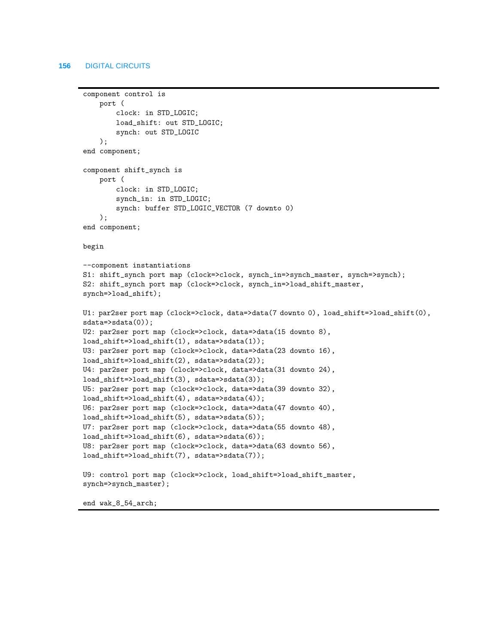```
component control is
     port (
         clock: in STD_LOGIC;
         load_shift: out STD_LOGIC;
         synch: out STD_LOGIC
     );
end component;
component shift_synch is
     port (
         clock: in STD_LOGIC;
         synch_in: in STD_LOGIC;
         synch: buffer STD_LOGIC_VECTOR (7 downto 0)
     );
end component;
begin
--component instantiations
S1: shift_synch port map (clock=>clock, synch_in=>synch_master, synch=>synch);
S2: shift_synch port map (clock=>clock, synch_in=>load_shift_master, 
synch=>load_shift);
U1: par2ser port map (clock=>clock, data=>data(7 downto 0), load_shift=>load_shift(0), 
sdata=>sdata(0));
U2: par2ser port map (clock=>clock, data=>data(15 downto 8), 
load_shift=>load_shift(1), sdata=>sdata(1));
U3: par2ser port map (clock=>clock, data=>data(23 downto 16), 
load_shift=>load_shift(2), sdata=>sdata(2));
U4: par2ser port map (clock=>clock, data=>data(31 downto 24), 
load_shift=>load_shift(3), sdata=>sdata(3));
U5: par2ser port map (clock=>clock, data=>data(39 downto 32), 
load_shift=>load_shift(4), sdata=>sdata(4));
U6: par2ser port map (clock=>clock, data=>data(47 downto 40), 
load_shift=>load_shift(5), sdata=>sdata(5));
U7: par2ser port map (clock=>clock, data=>data(55 downto 48), 
load_shift=>load_shift(6), sdata=>sdata(6));
U8: par2ser port map (clock=>clock, data=>data(63 downto 56), 
load_shift=>load_shift(7), sdata=>sdata(7));
U9: control port map (clock=>clock, load_shift=>load_shift_master, 
synch=>synch_master);
```
end wak\_8\_54\_arch;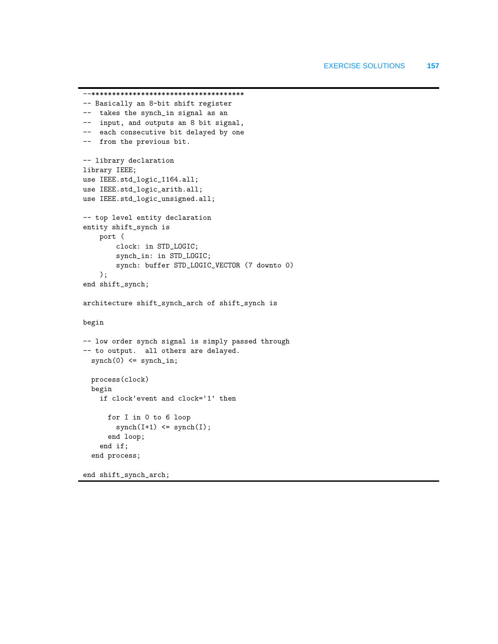```
--*************************************
-- Basically an 8-bit shift register
-- takes the synch_in signal as an
-- input, and outputs an 8 bit signal,
-- each consecutive bit delayed by one
-- from the previous bit.
-- library declaration
library IEEE;
use IEEE.std_logic_1164.all;
use IEEE.std_logic_arith.all;
use IEEE.std_logic_unsigned.all;
-- top level entity declaration
entity shift_synch is
     port (
         clock: in STD_LOGIC;
         synch_in: in STD_LOGIC;
         synch: buffer STD_LOGIC_VECTOR (7 downto 0)
     );
end shift_synch;
architecture shift_synch_arch of shift_synch is
begin
-- low order synch signal is simply passed through
-- to output. all others are delayed.
  synch(0) \leq synch_in; process(clock)
  begin
     if clock'event and clock='1' then
       for I in 0 to 6 loop
        synch(I+1) \leq synch(I); end loop;
     end if;
   end process;
```
end shift\_synch\_arch;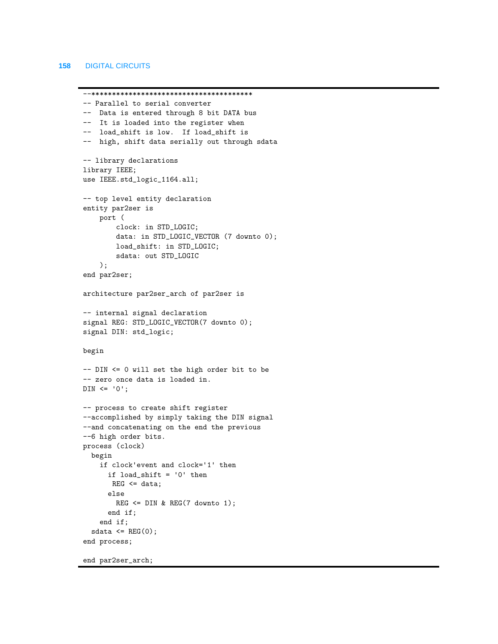```
--***************************************
-- Parallel to serial converter
-- Data is entered through 8 bit DATA bus
-- It is loaded into the register when
-- load_shift is low. If load_shift is
-- high, shift data serially out through sdata
-- library declarations
library IEEE;
use IEEE.std_logic_1164.all;
-- top level entity declaration
entity par2ser is
     port (
         clock: in STD_LOGIC;
         data: in STD_LOGIC_VECTOR (7 downto 0);
         load_shift: in STD_LOGIC;
         sdata: out STD_LOGIC
     );
end par2ser;
architecture par2ser_arch of par2ser is
-- internal signal declaration
signal REG: STD_LOGIC_VECTOR(7 downto 0);
signal DIN: std_logic;
begin
-- DIN <= 0 will set the high order bit to be 
-- zero once data is loaded in.
DIN \leq '0';-- process to create shift register
--accomplished by simply taking the DIN signal
--and concatenating on the end the previous
--6 high order bits.
process (clock)
  begin
     if clock'event and clock='1' then 
       if load_shift = '0' then
      REG \leq data; else 
        REG \leq DIN & REG(7 downto 1);
       end if;
     end if;
  sdata \leq REG(0);
end process;
```
end par2ser\_arch;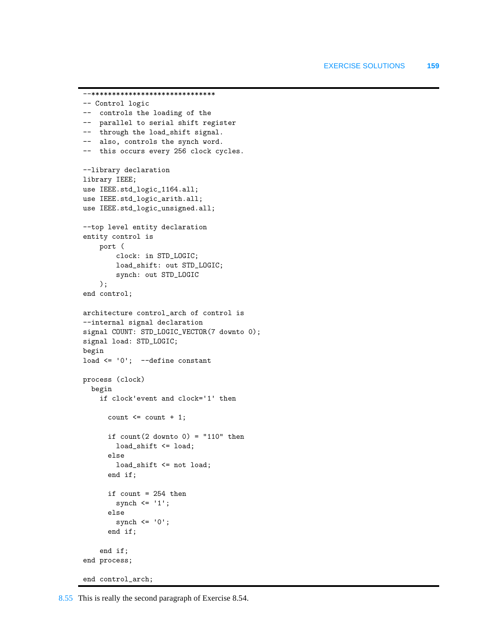```
--******************************
-- Control logic
-- controls the loading of the
-- parallel to serial shift register
-- through the load_shift signal.
-- also, controls the synch word. 
-- this occurs every 256 clock cycles.
--library declaration
library IEEE;
use IEEE.std_logic_1164.all;
use IEEE.std_logic_arith.all;
use IEEE.std_logic_unsigned.all;
--top level entity declaration
entity control is
     port (
         clock: in STD_LOGIC;
         load_shift: out STD_LOGIC;
         synch: out STD_LOGIC
     );
end control;
architecture control_arch of control is
--internal signal declaration
signal COUNT: STD_LOGIC_VECTOR(7 downto 0);
signal load: STD_LOGIC;
begin
load \leq '0'; --define constant
process (clock)
   begin
     if clock'event and clock='1' then 
      count \leq count + 1;
      if count(2 down to 0) = "110" then load_shift <= load;
       else 
         load_shift <= not load;
       end if;
       if count = 254 then
        synch \leq '1';
       else
        synch \leq '0';
       end if;
     end if;
end process;
end control_arch;
```
8.55 This is really the second paragraph of Exercise 8.54.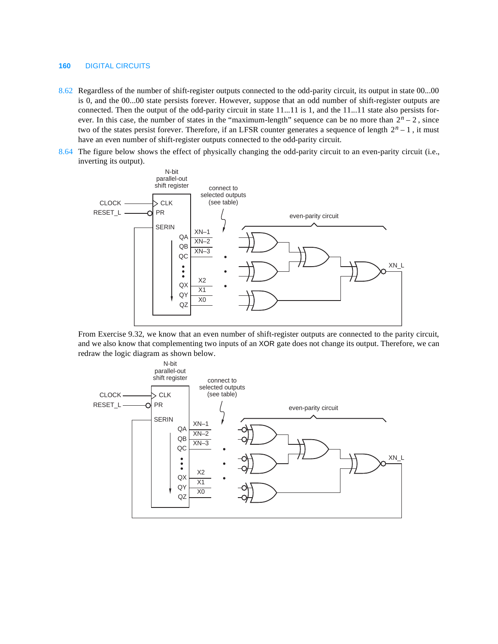- 8.62 Regardless of the number of shift-register outputs connected to the odd-parity circuit, its output in state 00...00 is 0, and the 00...00 state persists forever. However, suppose that an odd number of shift-register outputs are connected. Then the output of the odd-parity circuit in state 11...11 is 1, and the 11...11 state also persists forever. In this case, the number of states in the "maximum-length" sequence can be no more than  $2<sup>n</sup> - 2$ , since two of the states persist forever. Therefore, if an LFSR counter generates a sequence of length  $2<sup>n</sup> - 1$ , it must have an even number of shift-register outputs connected to the odd-parity circuit.
- 8.64 The figure below shows the effect of physically changing the odd-parity circuit to an even-parity circuit (i.e., inverting its output).



From Exercise 9.32, we know that an even number of shift-register outputs are connected to the parity circuit, and we also know that complementing two inputs of an XOR gate does not change its output. Therefore, we can redraw the logic diagram as shown below.

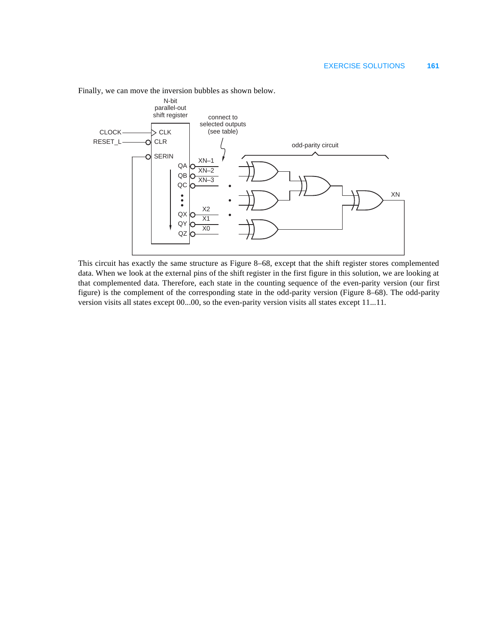

Finally, we can move the inversion bubbles as shown below.

This circuit has exactly the same structure as Figure 8–68, except that the shift register stores complemented data. When we look at the external pins of the shift register in the first figure in this solution, we are looking at that complemented data. Therefore, each state in the counting sequence of the even-parity version (our first figure) is the complement of the corresponding state in the odd-parity version (Figure 8–68). The odd-parity version visits all states except 00...00, so the even-parity version visits all states except 11...11.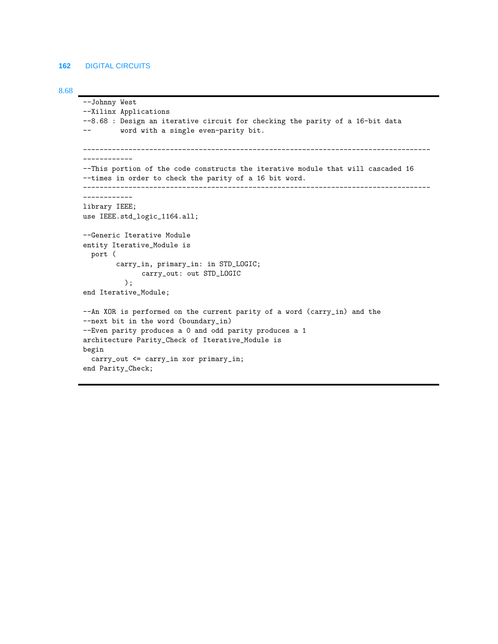```
8.68
```

```
--Johnny West
--Xilinx Applications
--8.68 : Design an iterative circuit for checking the parity of a 16-bit data
-- word with a single even-parity bit.
------------------------------------------------------------------------------------
------------
--This portion of the code constructs the iterative module that will cascaded 16 
--times in order to check the parity of a 16 bit word.
------------------------------------------------------------------------------------
------------
library IEEE;
use IEEE.std_logic_1164.all;
--Generic Iterative Module
entity Iterative_Module is
   port (
         carry_in, primary_in: in STD_LOGIC;
              carry_out: out STD_LOGIC
           );
end Iterative_Module;
--An XOR is performed on the current parity of a word (carry_in) and the
--next bit in the word (boundary_in)
--Even parity produces a 0 and odd parity produces a 1 
architecture Parity_Check of Iterative_Module is
begin
   carry_out <= carry_in xor primary_in;
end Parity_Check;
```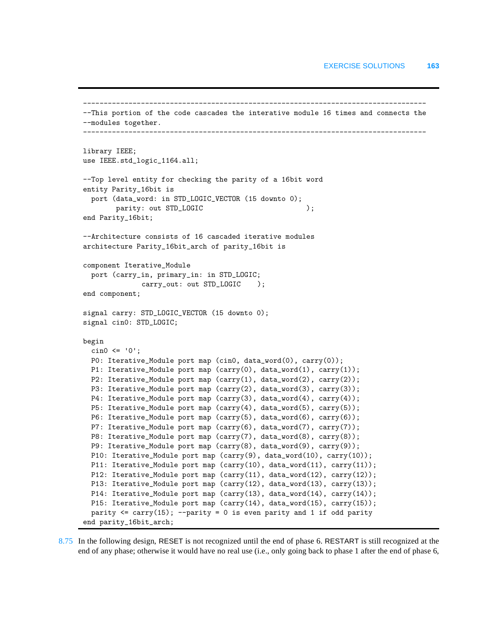```
-----------------------------------------------------------------------------------
--This portion of the code cascades the interative module 16 times and connects the
--modules together.
                            -----------------------------------------------------------------------------------
library IEEE;
use IEEE.std_logic_1164.all;
--Top level entity for checking the parity of a 16bit word
entity Parity_16bit is
  port (data_word: in STD_LOGIC_VECTOR (15 downto 0);
        parity: out STD_LOGIC );
end Parity_16bit;
--Architecture consists of 16 cascaded iterative modules
architecture Parity_16bit_arch of parity_16bit is
component Iterative_Module
  port (carry_in, primary_in: in STD_LOGIC;
              carry_out: out STD_LOGIC );
end component;
signal carry: STD_LOGIC_VECTOR (15 downto 0);
signal cin0: STD_LOGIC;
begin 
 cin0 \leq 0';
  P0: Iterative_Module port map (cin0, data_word(0), carry(0)); 
  P1: Iterative_Module port map (carry(0), data_word(1), carry(1));
 P2: Iterative_Module port map (carry(1), data_word(2), carry(2));
  P3: Iterative_Module port map (carry(2), data_word(3), carry(3));
  P4: Iterative_Module port map (carry(3), data_word(4), carry(4));
  P5: Iterative_Module port map (carry(4), data_word(5), carry(5));
  P6: Iterative_Module port map (carry(5), data_word(6), carry(6));
  P7: Iterative_Module port map (carry(6), data_word(7), carry(7));
 P8: Iterative_Module port map (carry(7), data_word(8), carry(8));
  P9: Iterative_Module port map (carry(8), data_word(9), carry(9));
  P10: Iterative_Module port map (carry(9), data_word(10), carry(10));
  P11: Iterative_Module port map (carry(10), data_word(11), carry(11));
 P12: Iterative_Module port map (carry(11), data_word(12), carry(12));
  P13: Iterative_Module port map (carry(12), data_word(13), carry(13));
  P14: Iterative_Module port map (carry(13), data_word(14), carry(14));
  P15: Iterative_Module port map (carry(14), data_word(15), carry(15));
 parity \leq carry(15); --parity = 0 is even parity and 1 if odd parity
end parity_16bit_arch;
```
8.75 In the following design, RESET is not recognized until the end of phase 6. RESTART is still recognized at the end of any phase; otherwise it would have no real use (i.e., only going back to phase 1 after the end of phase 6,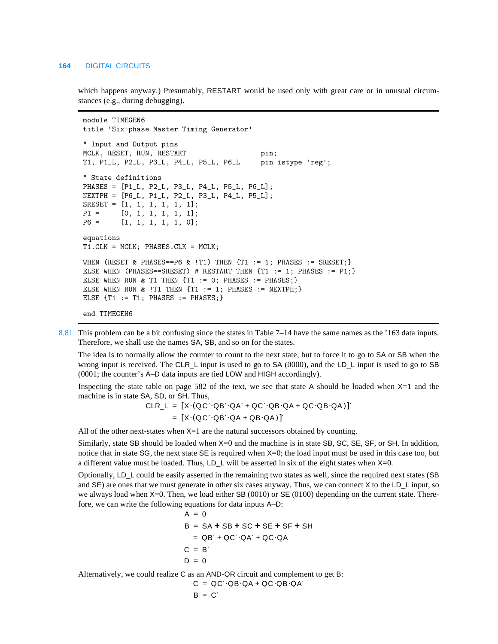which happens anyway.) Presumably, RESTART would be used only with great care or in unusual circumstances (e.g., during debugging).

```
module TIMEGEN6 
title 'Six-phase Master Timing Generator'
" Input and Output pins 
MCLK, RESET, RUN, RESTART pin;
T1, P1_L, P2_L, P3_L, P4_L, P5_L, P6_L pin istype 'reg'; 
" State definitions
PHASES = [P1_L, P2_L, P3_L, P4_L, P5_L, P6_L];
NEXTPH = [P6_L, P1_L, P2_L, P3_L, P4_L, P5_L];
SREST = [1, 1, 1, 1, 1, 1];
P1 = [0, 1, 1, 1, 1, 1];
P6 = [1, 1, 1, 1, 1, 0];
equations
T1.CLK = MCLK; PHASES.CLK = MCLK;
WHEN (RESET & PHASES==P6 & !T1) THEN \{T1 := 1; PHASES := SRESET;\}ELSE WHEN (PHASES==SRESET) # RESTART THEN {T1 := 1; PHASES := P1;}
ELSE WHEN RUN & T1 THEN \{T1 := 0; PHASES := PHASES;\}ELSE WHEN RUN & !T1 THEN \{T1 := 1; PHASES := NEXTPH;\}ELSE \{T1 := T1; PHASES := PHASES; \}end TIMEGEN6
```
8.81 This problem can be a bit confusing since the states in Table 7–14 have the same names as the '163 data inputs. Therefore, we shall use the names SA, SB, and so on for the states.

The idea is to normally allow the counter to count to the next state, but to force it to go to SA or SB when the wrong input is received. The CLR<sub>L</sub> input is used to go to SA (0000), and the LD<sub>L</sub> input is used to go to SB (0001; the counter's A–D data inputs are tied LOW and HIGH accordingly).

Inspecting the state table on page 582 of the text, we see that state A should be loaded when  $X=1$  and the machine is in state SA, SD, or SH. Thus,

$$
CLR_{L} = [X \cdot (QC' \cdot QB' \cdot QA' + QC' \cdot QB \cdot QA + QC \cdot QB \cdot QA)]'
$$
  
= [X \cdot (QC' \cdot QB' \cdot QA + QB \cdot QA)]'

All of the other next-states when  $X=1$  are the natural successors obtained by counting.

Similarly, state SB should be loaded when X=0 and the machine is in state SB, SC, SE, SF, or SH. In addition, notice that in state SG, the next state SE is required when  $X=0$ ; the load input must be used in this case too, but a different value must be loaded. Thus, LD\_L will be asserted in six of the eight states when X=0.

Optionally, LD\_L could be easily asserted in the remaining two states as well, since the required next states (SB and SE) are ones that we must generate in other six cases anyway. Thus, we can connect X to the LD\_L input, so we always load when X=0. Then, we load either SB (0010) or SE (0100) depending on the current state. Therefore, we can write the following equations for data inputs A–D:

$$
A = 0
$$
  
\n
$$
B = SA + SB + SC + SE + SF + SH
$$
  
\n
$$
= QB' + QC' \cdot QA' + QC \cdot QA
$$
  
\n
$$
C = B'
$$
  
\n
$$
D = 0
$$

Alternatively, we could realize C as an AND-OR circuit and complement to get B:

$$
C = QC' \cdot QB \cdot QA + QC \cdot QB \cdot QA'
$$

$$
\mathsf{B}~=~\mathsf{C}
$$